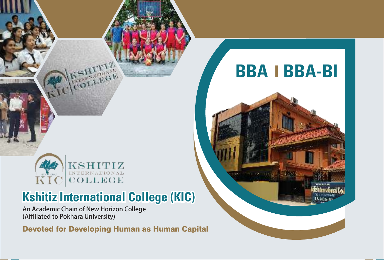

# **Kshitiz International College (KIC)**

An Academic Chain of New Horizon College (Affiliated to Pokhara University)

Devoted for Developing Human as Human Capital

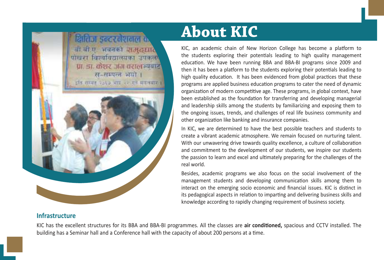

# **About KIC**

KIC, an academic chain of New Horizon College has become a platform to the students exploring their potentials leading to high quality management education. We have been running BBA and BBA-BI programs since 2009 and then it has been a platform to the students exploring their potentials leading to high quality education. It has been evidenced from global practices that these programs are applied business education programs to cater the need of dynamic organization of modern competitive age. These programs, in global context, have been established as the foundation for transferring and developing managerial and leadership skills among the students by familiarizing and exposing them to the ongoing issues, trends, and challenges of real life business community and other organization like banking and insurance companies.

In KIC, we are determined to have the best possible teachers and students to create a vibrant academic atmosphere. We remain focused on nurturing talent. With our unwavering drive towards quality excellence, a culture of collaboration and commitment to the development of our students, we inspire our students the passion to learn and excel and ultimately preparing for the challenges of the real world.

Besides, academic programs we also focus on the social involvement of the management students and developing communication skills among them to interact on the emerging socio economic and financial issues. KIC is distinct in its pedagogical aspects in relation to imparting and delivering business skills and knowledge according to rapidly changing requirement of business society.

#### **Infrastructure**

KIC has the excellent structures for its BBA and BBA-BI programmes. All the classes are **air conditioned,** spacious and CCTV installed. The building has a Seminar hall and a Conference hall with the capacity of about 200 persons at a time.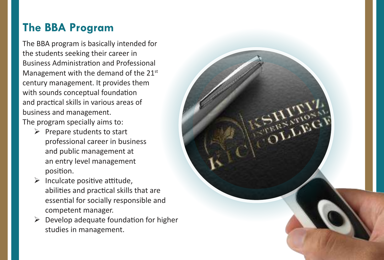## **The BBA Program**

The BBA program is basically intended for the students seeking their career in Business Administration and Professional Management with the demand of the  $21^{st}$ century management. It provides them with sounds conceptual foundation and practical skills in various areas of business and management.

The program specially aims to:

- $\triangleright$  Prepare students to start professional career in business and public management at an entry level management position.
- $\triangleright$  Inculcate positive attitude, abilities and practical skills that are essential for socially responsible and competent manager.
- $\triangleright$  Develop adequate foundation for higher studies in management.

Prince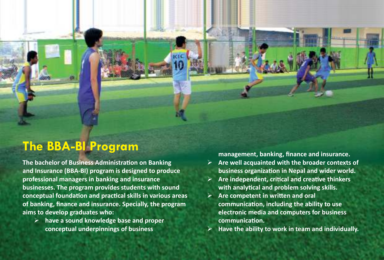## **The BBA-BI Program**

**The bachelor of Business Administration on Banking and Insurance (BBA-BI) program is designed to produce professional managers in banking and insurance businesses. The program provides students with sound conceptual foundation and practical skills in various areas of banking, finance and insurance. Specially, the program aims to develop graduates who:**

 **have a sound knowledge base and proper conceptual underpinnings of business** 

**management, banking, finance and insurance.**

- **Are well acquainted with the broader contexts of business organization in Nepal and wider world.**
- **Are independent, critical and creative thinkers with analytical and problem solving skills.**
- **Are competent in written and oral communication, including the ability to use electronic media and computers for business communication.**
- **Have the ability to work in team and individually.**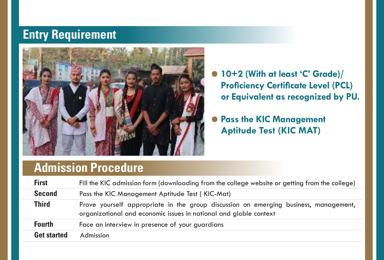## **Entry Requirement**



**10+2 (With at least 'C' Grade)/ Proficiency Certificate Level (PCL) or Equivalent as recognized by PU.**

**Pass the KIC Management Aptitude Test (KIC MAT)**

## **Admission Procedure**

| <b>First</b>  | Fill the KIC admission form (downloading from the college website or getting from the college)                                                            |  |
|---------------|-----------------------------------------------------------------------------------------------------------------------------------------------------------|--|
| <b>Second</b> | Pass the KIC Management Aptitude Test (KIC-Mat)                                                                                                           |  |
| <b>Third</b>  | Prove yourself appropriate in the group discussion on emerging business, management,<br>organizational and economic issues in national and globle context |  |
| <b>Fourth</b> | Face an interview in presence of your guardians                                                                                                           |  |
| Get started   | Admission                                                                                                                                                 |  |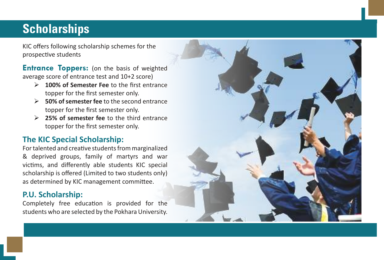# **Scholarships**

KIC offers following scholarship schemes for the prospective students

**Entrance Toppers:** (on the basis of weighted average score of entrance test and 10+2 score)

- **100% of Semester Fee** to the first entrance topper for the first semester only.
- **50% of semester fee** to the second entrance topper for the first semester only.
- **25% of semester fee** to the third entrance topper for the first semester only.

### **The KIC Special Scholarship:**

For talented and creative students from marginalized & deprived groups, family of martyrs and war victims, and differently able students KIC special scholarship is offered (Limited to two students only) as determined by KIC management committee.

### **P.U. Scholarship:**

Completely free education is provided for the students who are selected by the Pokhara University.

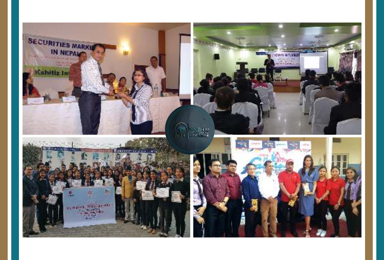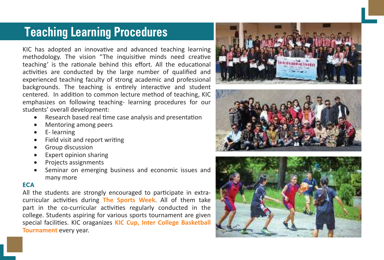# **Teaching Learning Procedures**

KIC has adopted an innovative and advanced teaching learning methodology. The vision "The inquisitive minds need creative teaching' is the rationale behind this effort. All the educational activities are conducted by the large number of qualified and experienced teaching faculty of strong academic and professional backgrounds. The teaching is entirely interactive and student centered. In addition to common lecture method of teaching, KIC emphasizes on following teaching- learning procedures for our students' overall development:

- Research based real time case analysis and presentation
- Mentoring among peers
- E- learning
- Field visit and report writing
- **Group discussion**
- **Expert opinion sharing**
- Projects assignments
- Seminar on emerging business and economic issues and many more

#### **ECA**

All the students are strongly encouraged to participate in extracurricular activities during **The Sports Week**. All of them take part in the co-curricular activities regularly conducted in the college. Students aspiring for various sports tournament are given special facilities. KIC oraganizes **KIC Cup, Inter College Basketball Tournament** every year.





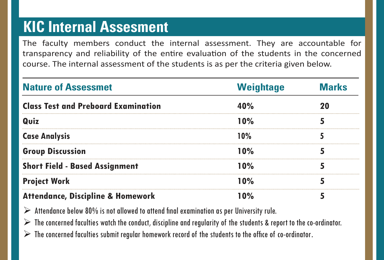# **KIC Internal Assesment**

The faculty members conduct the internal assessment. They are accountable for transparency and reliability of the entire evaluation of the students in the concerned course. The internal assessment of the students is as per the criteria given below.

| <b>Nature of Assessmet</b>                   | <b>Weightage</b><br>40% | <b>Marks</b> |
|----------------------------------------------|-------------------------|--------------|
| <b>Class Test and Preboard Examination</b>   |                         |              |
| Quiz                                         | 10%                     |              |
| <b>Case Analysis</b>                         | 10%                     |              |
| <b>Group Discussion</b>                      | 10%                     |              |
| <b>Short Field - Based Assignment</b>        | 10%                     |              |
| <b>Project Work</b>                          | 10%                     |              |
| <b>Attendance, Discipline &amp; Homework</b> |                         |              |

- $\triangleright$  Attendance below 80% is not allowed to attend final examination as per University rule.
- $\triangleright$  The concerned faculties watch the conduct, discipline and regularity of the students & report to the co-ordinator.
- $\triangleright$  The concerned faculties submit regular homework record of the students to the office of co-ordinator.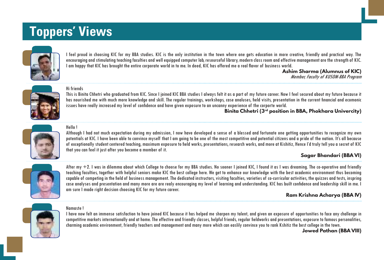# **Toppers' Views**



I feel proud in choosing KIC for my BBA studies. KIC is the only institution in the town where one gets education in more creative, friendly and practical way. The encouraging and stimulating teaching faculties and well equipped computer lab, resourceful library, modern class room and effective management are the strength of KIC. I am happy that KIC has brought the entire corporate world in to me. In deed, KIC has offered me a real flavor of business world.

**Ashim Sharma (Alumnus of KIC)**

Member, Faculty of KUSOM-BBA Program



#### Hi friends

This is Binita Chhetri who graduated from KIC. Since I joined KIC BBA studies I always felt it as a part of my future career. Now I feel secured about my future because it has nourished me with much more knowledge and skill. The regular trainings, workshops, case analuses, field visits, presentation in the current financial and ecomonic issues have really increased my level of confidence and have given exposure to an uncanny experience of the corporte world.

**Binita Chhetri (3rd position in BBA, Phokhara Univercity)**

#### Hello !

Namaste !



Although I had not much expectation during my admission, I now have developed a sense of a blessed and fortunate one getting opportunities to recognize my own potentials at KIC. I have been able to convince myself that I am going to be one of the most competitive and potential citizens and a pride of the nation. It's all because of exceptionally student centered teaching, maximum exposure to field works, presentations, research works, and more at Kishitiz, Hence I'd truly tell you a secret of KIC that you can feel it just after you become a momber of it.

#### **Sagar Bhandari (BBA VI)**



After my  $+2$ . I was in dilemma about which College to choose for my BBA studies. No sooner I joined KIC. I found it as I was dreaming. The co-operative and friendly teaching faculties, together with helpful seniors make KIC the best college here. We get to enhance our knowledge with the best academic environment thus becoming capable of competing in the field of business management. The dedicated instructors, visiting faculties, varieties of co-curricular activities, the quizzes and tests, inspring case analyses and presentation and many more are are realy encouraging my level of learning and understanding. KIC has built confidence and leadership skill in me. I am sure I made right decision choosing KIC for my future career.

#### **Ram Krishna Acharya (BBA IV)**



I have now felt an immense satisfaction to have joined KIC because it has helped me sharpen my talent, and given an exposure of opportunities to face any challenge in competitive markets internationally and at home. The effective and friendly classes, helpful friends, regular fieldworks and presentations, exposure to famous personalities, charming academic environment, friendly teachers and management and many more which can easlily convince you to rank Kshitiz the best college in the town.

#### **Jowed Pathan (BBA VIII)**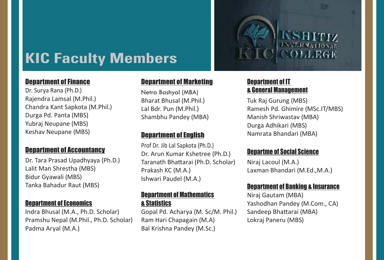

# **KIC Faculty Members**

#### Department of Finance

Dr. Surya Rana (Ph.D.) Rajendra Lamsal (M.Phil.) Chandra Kant Sapkota (M.Phil.) Durga Pd. Panta (MBS) Yubraj Neupane (MBS) Keshav Neupane (MBS)

#### Department of Accountancy

Dr. Tara Prasad Upadhyaya (Ph.D.) Lalit Man Shrestha (MBS) Bidur Gyawali (MBS) Tanka Bahadur Raut (MBS)

#### Department of Economics

Indra Bhusal (M.A., Ph.D. Scholar) Pramshu Nepal (M.Phil., Ph.D. Scholar) Padma Aryal (M.A.)

### Department of Marketing

Netra Bashyal (MBA) Bharat Bhusal (M.Phil.) Lal Bdr. Pun (M.Phil.) Shambhu Pandey (MBA)

### Department of English

Prof Dr. Jib Lal Sapkota (Ph.D.) Dr. Arun Kumar Kshetree (Ph.D.) Taranath Bhattarai (Ph.D. Scholar) Prakash KC (M.A.) Ishwari Paudel (M.A.)

#### Department of Mathematics & Statistics

Gopal Pd. Acharya (M. Sc/M. Phil.) Ram Hari Chapagain (M.A) Bal Krishna Pandey (M.Sc.)

### Department of IT & General Management

Tuk Raj Gurung (MBS) Ramesh Pd. Ghimire (MSc.IT/MBS) Manish Shriwastav (MBA) Durga Adhikari (MBS) Namrata Bhandari (MBA)

#### Departme of Social Science

Niraj Lacoul (M.A.) Laxman Bhandari (M.Ed.,M.A.)

#### Department of Banking & Insurance

Niraj Gautam (MBA) Yashodhan Pandey (M.Com., CA) Sandeep Bhattarai (MBA) Lokraj Paneru (MBS)